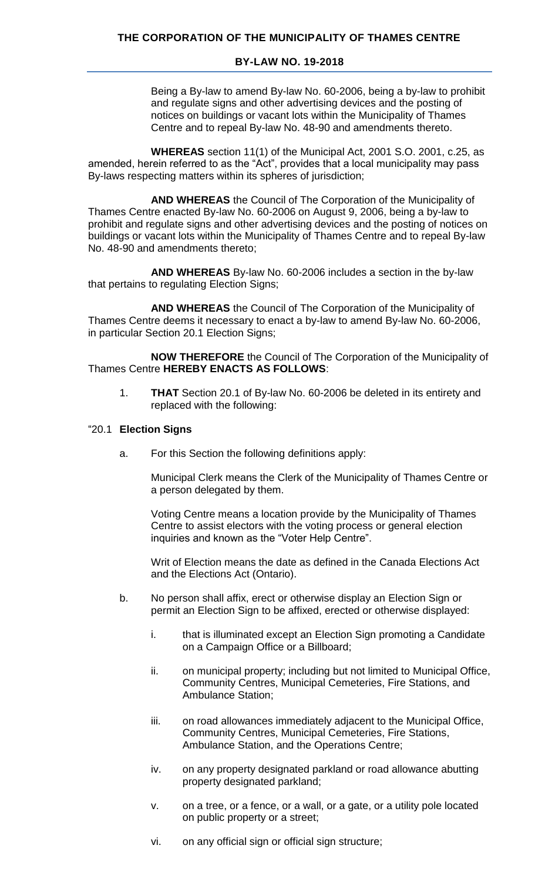## **BY-LAW NO. 19-2018**

Being a By-law to amend By-law No. 60-2006, being a by-law to prohibit and regulate signs and other advertising devices and the posting of notices on buildings or vacant lots within the Municipality of Thames Centre and to repeal By-law No. 48-90 and amendments thereto.

**WHEREAS** section 11(1) of the Municipal Act, 2001 S.O. 2001, c.25, as amended, herein referred to as the "Act", provides that a local municipality may pass By-laws respecting matters within its spheres of jurisdiction;

**AND WHEREAS** the Council of The Corporation of the Municipality of Thames Centre enacted By-law No. 60-2006 on August 9, 2006, being a by-law to prohibit and regulate signs and other advertising devices and the posting of notices on buildings or vacant lots within the Municipality of Thames Centre and to repeal By-law No. 48-90 and amendments thereto;

**AND WHEREAS** By-law No. 60-2006 includes a section in the by-law that pertains to regulating Election Signs;

**AND WHEREAS** the Council of The Corporation of the Municipality of Thames Centre deems it necessary to enact a by-law to amend By-law No. 60-2006, in particular Section 20.1 Election Signs;

**NOW THEREFORE** the Council of The Corporation of the Municipality of Thames Centre **HEREBY ENACTS AS FOLLOWS**:

1. **THAT** Section 20.1 of By-law No. 60-2006 be deleted in its entirety and replaced with the following:

## "20.1 **Election Signs**

a. For this Section the following definitions apply:

Municipal Clerk means the Clerk of the Municipality of Thames Centre or a person delegated by them.

Voting Centre means a location provide by the Municipality of Thames Centre to assist electors with the voting process or general election inquiries and known as the "Voter Help Centre".

Writ of Election means the date as defined in the Canada Elections Act and the Elections Act (Ontario).

- b. No person shall affix, erect or otherwise display an Election Sign or permit an Election Sign to be affixed, erected or otherwise displayed:
	- i. that is illuminated except an Election Sign promoting a Candidate on a Campaign Office or a Billboard;
	- ii. on municipal property; including but not limited to Municipal Office, Community Centres, Municipal Cemeteries, Fire Stations, and Ambulance Station;
	- iii. on road allowances immediately adjacent to the Municipal Office, Community Centres, Municipal Cemeteries, Fire Stations, Ambulance Station, and the Operations Centre;
	- iv. on any property designated parkland or road allowance abutting property designated parkland;
	- v. on a tree, or a fence, or a wall, or a gate, or a utility pole located on public property or a street;
	- vi. on any official sign or official sign structure;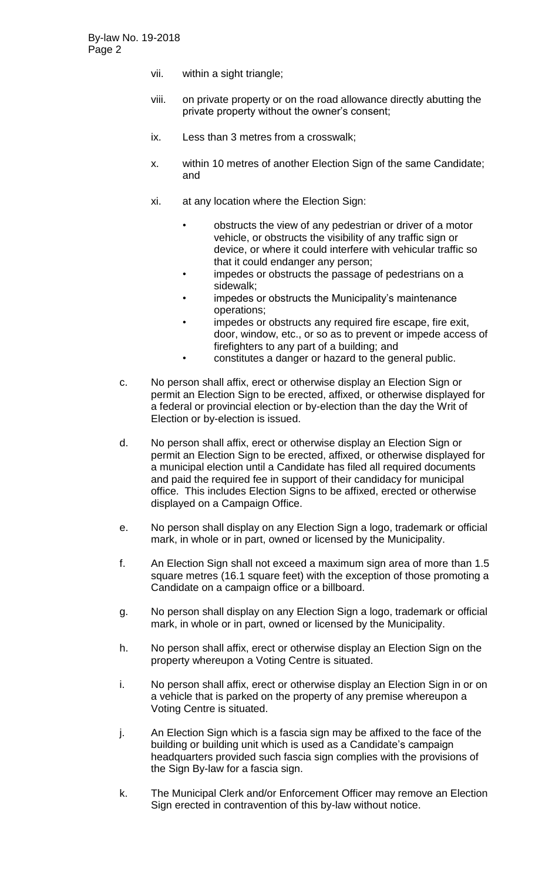- vii. within a sight triangle;
- viii. on private property or on the road allowance directly abutting the private property without the owner's consent;
- ix. Less than 3 metres from a crosswalk;
- x. within 10 metres of another Election Sign of the same Candidate; and
- xi. at any location where the Election Sign:
	- obstructs the view of any pedestrian or driver of a motor vehicle, or obstructs the visibility of any traffic sign or device, or where it could interfere with vehicular traffic so that it could endanger any person;
	- impedes or obstructs the passage of pedestrians on a sidewalk;
	- impedes or obstructs the Municipality's maintenance operations;
	- impedes or obstructs any required fire escape, fire exit, door, window, etc., or so as to prevent or impede access of firefighters to any part of a building; and
	- constitutes a danger or hazard to the general public.
- c. No person shall affix, erect or otherwise display an Election Sign or permit an Election Sign to be erected, affixed, or otherwise displayed for a federal or provincial election or by-election than the day the Writ of Election or by-election is issued.
- d. No person shall affix, erect or otherwise display an Election Sign or permit an Election Sign to be erected, affixed, or otherwise displayed for a municipal election until a Candidate has filed all required documents and paid the required fee in support of their candidacy for municipal office. This includes Election Signs to be affixed, erected or otherwise displayed on a Campaign Office.
- e. No person shall display on any Election Sign a logo, trademark or official mark, in whole or in part, owned or licensed by the Municipality.
- f. An Election Sign shall not exceed a maximum sign area of more than 1.5 square metres (16.1 square feet) with the exception of those promoting a Candidate on a campaign office or a billboard.
- g. No person shall display on any Election Sign a logo, trademark or official mark, in whole or in part, owned or licensed by the Municipality.
- h. No person shall affix, erect or otherwise display an Election Sign on the property whereupon a Voting Centre is situated.
- i. No person shall affix, erect or otherwise display an Election Sign in or on a vehicle that is parked on the property of any premise whereupon a Voting Centre is situated.
- j. An Election Sign which is a fascia sign may be affixed to the face of the building or building unit which is used as a Candidate's campaign headquarters provided such fascia sign complies with the provisions of the Sign By-law for a fascia sign.
- k. The Municipal Clerk and/or Enforcement Officer may remove an Election Sign erected in contravention of this by-law without notice.